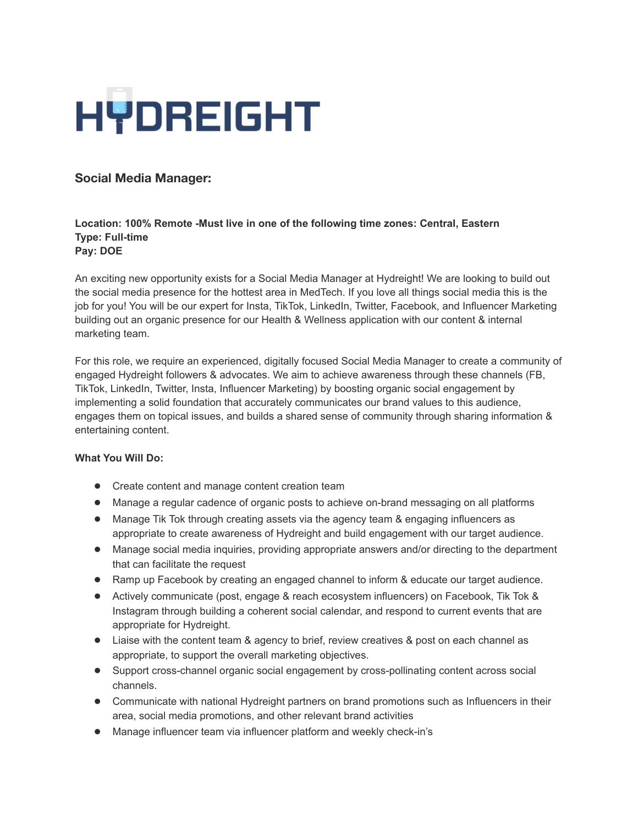

# **Social Media Manager:**

## **Location: 100% Remote -Must live in one of the following time zones: Central, Eastern Type: Full-time Pay: DOE**

An exciting new opportunity exists for a Social Media Manager at Hydreight! We are looking to build out the social media presence for the hottest area in MedTech. If you love all things social media this is the job for you! You will be our expert for Insta, TikTok, LinkedIn, Twitter, Facebook, and Influencer Marketing building out an organic presence for our Health & Wellness application with our content & internal marketing team.

For this role, we require an experienced, digitally focused Social Media Manager to create a community of engaged Hydreight followers & advocates. We aim to achieve awareness through these channels (FB, TikTok, LinkedIn, Twitter, Insta, Influencer Marketing) by boosting organic social engagement by implementing a solid foundation that accurately communicates our brand values to this audience, engages them on topical issues, and builds a shared sense of community through sharing information & entertaining content.

### **What You Will Do:**

- Create content and manage content creation team
- Manage a regular cadence of organic posts to achieve on-brand messaging on all platforms
- Manage Tik Tok through creating assets via the agency team & engaging influencers as appropriate to create awareness of Hydreight and build engagement with our target audience.
- Manage social media inquiries, providing appropriate answers and/or directing to the department that can facilitate the request
- Ramp up Facebook by creating an engaged channel to inform & educate our target audience.
- Actively communicate (post, engage & reach ecosystem influencers) on Facebook, Tik Tok & Instagram through building a coherent social calendar, and respond to current events that are appropriate for Hydreight.
- Liaise with the content team & agency to brief, review creatives & post on each channel as appropriate, to support the overall marketing objectives.
- Support cross-channel organic social engagement by cross-pollinating content across social channels.
- Communicate with national Hydreight partners on brand promotions such as Influencers in their area, social media promotions, and other relevant brand activities
- Manage influencer team via influencer platform and weekly check-in's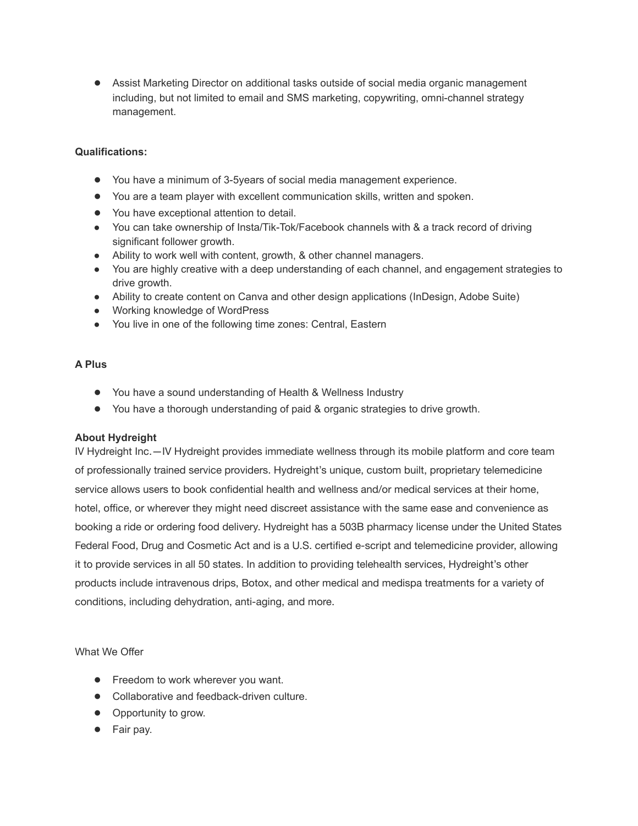● Assist Marketing Director on additional tasks outside of social media organic management including, but not limited to email and SMS marketing, copywriting, omni-channel strategy management.

### **Qualifications:**

- You have a minimum of 3-5years of social media management experience.
- You are a team player with excellent communication skills, written and spoken.
- You have exceptional attention to detail.
- You can take ownership of Insta/Tik-Tok/Facebook channels with & a track record of driving significant follower growth.
- Ability to work well with content, growth, & other channel managers.
- You are highly creative with a deep understanding of each channel, and engagement strategies to drive growth.
- Ability to create content on Canva and other design applications (InDesign, Adobe Suite)
- Working knowledge of WordPress
- You live in one of the following time zones: Central, Eastern

#### **A Plus**

- You have a sound understanding of Health & Wellness Industry
- You have a thorough understanding of paid & organic strategies to drive growth.

#### **About Hydreight**

IV Hydreight Inc.—IV [Hydreight](https://hydreight.com/) provides immediate wellness through its mobile platform and core team of professionally trained service providers. Hydreight's unique, custom built, proprietary telemedicine service allows users to book confidential health and wellness and/or medical services at their home, hotel, office, or wherever they might need discreet assistance with the same ease and convenience as booking a ride or ordering food delivery. Hydreight has a 503B pharmacy license under the United States Federal Food, Drug and Cosmetic Act and is a U.S. certified e‐script and telemedicine provider, allowing it to provide services in all 50 states. In addition to providing telehealth services, Hydreight's other products include intravenous drips, Botox, and other medical and medispa treatments for a variety of conditions, including dehydration, anti‐aging, and more.

What We Offer

- Freedom to work wherever you want.
- Collaborative and feedback-driven culture.
- Opportunity to grow.
- Fair pay.